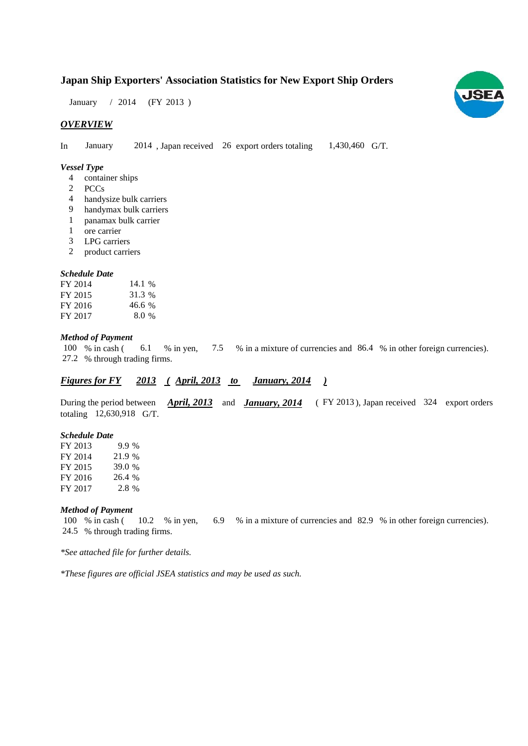### **Japan Ship Exporters' Association Statistics for New Export Ship Orders**

January / 2014 (FY 2013)

#### *OVERVIEW*

In January 2014, Japan received 26 export orders totaling 1,430,460 G/T. January 1,430,460 G/T.

#### *Vessel Type*

- container ships 4
- PCCs 2
- handysize bulk carriers 4
- handymax bulk carriers 9
- panamax bulk carrier 1
- ore carrier 1
- LPG carriers 3
- product carriers 2

#### *Schedule Date*

| FY 2014 | 14.1 %  |
|---------|---------|
| FY 2015 | 31.3 %  |
| FY 2016 | 46.6 %  |
| FY 2017 | $8.0\%$ |

#### *Method of Payment*

% in cash ( $\qquad 6.1 \qquad$  % in yen,  $\qquad 7.5 \qquad$  % in a mixture of currencies and  $\qquad 86.4 \qquad$  % in other foreign currencies). % through trading firms. 27.2 100 % in cash ( 6.1 % in yen,

#### *<u>Figures for FY 2013 (April, 2013 to January, 2014</u> ) January, 2014*

During the period between *April, 2013* and *January, 2014* (FY 2013), Japan received 324 export orders totaling 12,630,918 G/T.

#### *Schedule Date*

| FY 2013 | 9.9 %  |
|---------|--------|
| FY 2014 | 21.9 % |
| FY 2015 | 39.0 % |
| FY 2016 | 26.4 % |
| FY 2017 | 2.8 %  |

#### *Method of Payment*

% in cash ( $10.2$  % in yen,  $6.9$  % in a mixture of currencies and 82.9 % in other foreign currencies). % through trading firms. 24.5 100 % in cash (10.2 % in yen,

*\*See attached file for further details.*

*\*These figures are official JSEA statistics and may be used as such.*

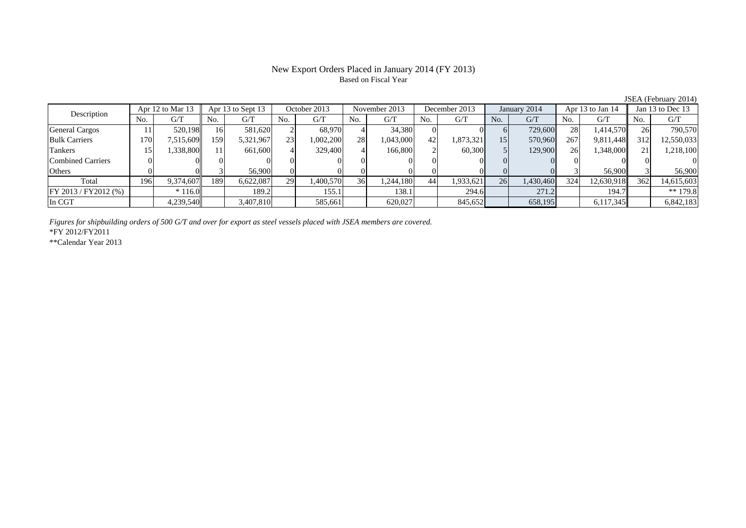#### New Export Orders Placed in January 2014 (FY 2013) Based on Fiscal Year

No. G/T No. G/T No. G/T No. G/T No. G/T No. G/T No. G/T No. G/T $\mathrm{G}/\mathrm{T}$ General Cargos | 11| 520,198|| 16| 581,620| 2| 68,970| 4| 34,380| 0| 0| 6| 729,600| 28| 1,414,570|| 26| 790,570 Bulk Carriers 170 7,515,609 159 5,321,967 23 1,002,200 28 1,043,000 42 1,873,321 15 570,960 267 9,811,448 312 12,550,033 Tankers | 15| 1,338,800|| 11| 661,600| 4| 329,400| 4| 166,800| 2| 60,300| 5| 129,900| 26| 1,348,000|| 21| 1,218,100 Combined Carriers 0 0 0 0 0 0 0 0 0 0 0 0 0 0 0 0Others 0 0 3 56,900 0 0 0 0 0 0 0 0 3 56,900 3 56,900 Total 196 9,374,607 189 6,622,087 29 1,400,570 36 1,244,180 44 1,933,621 26 1,430,460 324 12,630,918 362 14,615,603 FY 2013 / FY2012 (%)  $\begin{vmatrix} * & 116.0 \end{vmatrix}$  189.2 155.1 155.1 138.1 294.6 271.2 194.7 194.7 In CGT 4,239,540 3,407,810 585,661 620,027 845,652 658,195 6,117,345 6,842,183 Apr 12 to Mar 13 Apr 13 to Sept 13 October 2013 November 2013 Jan 13 to Dec 13 Description December 2013 January 2014 Apr 13 to Jan 14

*Figures for shipbuilding orders of 500 G/T and over for export as steel vessels placed with JSEA members are covered.*

\*FY 2012/FY2011

\*\*Calendar Year 2013

JSEA (February 2014)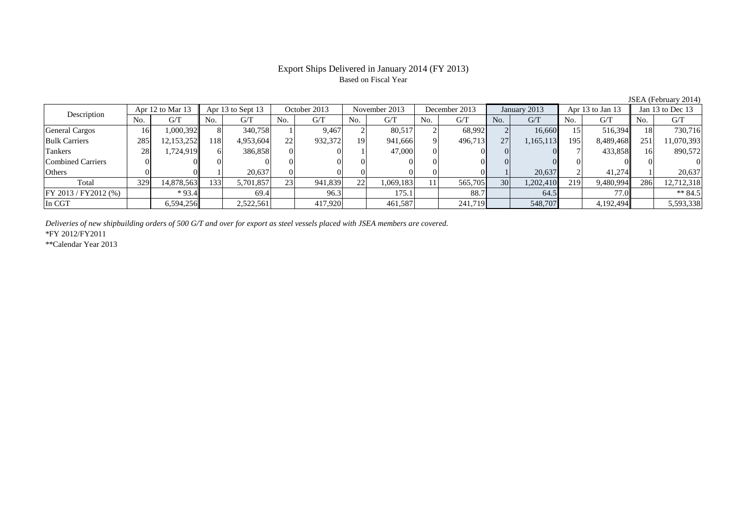# Based on Fiscal Year

No. G/T No. G/T No. G/T No. G/T No. G/T No. G/T No. G/T No. G/T $G/T$ General Cargos ( 16 1,000,392 8 340,758 1 9,467 2 80,517 2 68,992 2 16,660 15 516,394 18 730,716 Bulk Carriers 285 12,153,252 118 4,953,604 22 932,372 19 941,666 9 496,713 27 1,165,113 195 8,489,468 251 11,070,393 Tankers 28 1,724,919 6 386,858 0 0 1 47,000 0 0 0 0 7 433,858 16 890,572 Combined Carriers 0 0 0 0 0 0 0 0 0 0 0 0 0 0 0 0Others 0 0 1 20,637 0 0 0 0 0 0 1 20,637 2 41,274 1 20,637 Total 329 14,878,563 133 5,701,857 23 941,839 22 1,069,183 11 565,705 30 1,202,410 219 9,480,994 286 12,712,318 FY 2013 / FY2012 (%) \* 93.4 69.4 69.4 96.3 175.1 88.7 64.5 77.0 \* 84.5 In CGT | | 6,594,256|| | 2,522,561| | 417,920| | 461,587| | 241,719| | 548,707| | 4,192,494|| | 5,593,338 Description Apr 12 to Mar 13 Apr 13 to Sept 13 October 2013 November 2013 December 2013 January 2013 Apr 13 to Jan 13 Jan 13 to Dec 13

*Deliveries of new shipbuilding orders of 500 G/T and over for export as steel vessels placed with JSEA members are covered.*

\*FY 2012/FY2011

\*\*Calendar Year 2013

JSEA (February 2014)

# Export Ships Delivered in January 2014 (FY 2013)